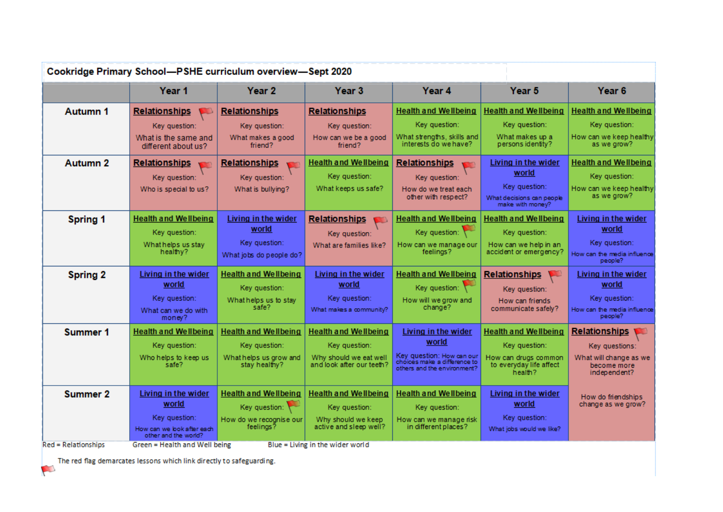| <b>Autumn 1</b><br><b>Health and Wellbeing</b><br><b>Health and Wellbeing</b><br><b>Relationships</b><br><b>Relationships</b><br><b>Relationships</b><br>Key question:<br>Key question:<br>Key question:<br>Key question:<br>Key question:<br>Key question:<br>What strengths, skills and<br>What makes up a<br>How can we be a good<br>What is the same and<br>What makes a good<br>interests do we have?<br>persons identity?<br>as we grow?<br>friend?<br>friend?<br>different about us?<br>Autumn 2<br><b>Relationships</b><br><b>Health and Wellbeing</b><br>Relationships<br>Living in the wider<br><b>Relationships</b><br>world<br>Key question:<br>Key question:<br>Key question:<br>Key question:<br>Key question:<br>Key question:<br>What keeps us safe?<br>Who is special to us?<br>What is bullying?<br>How do we treat each<br>as we grow?<br>other with respect?<br>What decisions can people<br>make with money?<br><b>Health and Wellbeing</b><br><b>Health and Wellbeing</b><br><b>Spring 1</b><br>Living in the wider<br><b>Relationships</b><br><b>Health and Wellbeing</b><br>V)<br>world<br>world<br>Key question:<br>Key question:<br>Key question:<br>Key question:<br>Key question:<br>Key question:<br>What helps us stay<br>How can we manage our<br>How can we help in an<br>What are families like?<br>accident or emergency?<br>healthy?<br>feelings?<br>What jobs do people do?<br>people?<br><b>Health and Wellbeing</b><br>Living in the wider<br><b>Health and Wellbeing</b><br><b>Spring 2</b><br>Living in the wider<br><b>Relationships</b><br>world<br>world<br>world<br>Key question:<br>Key question:<br>Key question:<br>Key question:<br>Key question:<br>Key question:<br>What helps us to stay<br>How will we grow and<br>How can friends<br>safe?<br>change?<br>communicate safely?<br>How can the media influence<br>What makes a community?<br>What can we do with<br>people?<br>money?<br><b>Summer 1</b><br><b>Health and Wellbeing</b><br><b>Health and Wellbeing</b><br><b>Health and Wellbeing</b><br><b>Health and Wellbeing</b><br><b>Relationships</b><br>Living in the wider<br>world<br>Key question:<br>Key question:<br>Key question:<br>Key question:<br>Key questions:<br>Key question: How can our<br>Who helps to keep us<br>What helps us grow and<br>Why should we eat well<br>How can drugs common<br>choices make a difference to<br>and look after our teeth?<br>safe?<br>stay healthy?<br>to everyday life affect<br>become more<br>others and the environment?<br>health?<br>independent?<br><b>Summer 2</b><br><b>Health and Wellbeing</b><br><b>Health and Wellbeing</b><br><b>Health and Wellbeing</b><br>Living in the wider<br>Living in the wider<br>world<br>world<br>change as we grow?<br>Key question: $\sqrt{ }$<br>Key question:<br>Key question:<br>Key question:<br>Key question:<br>How do we recognise our<br>Why should we keep<br>How can we manage risk<br>feelings?<br>active and sleep well?<br>in different places? | Year <sub>1</sub>          | Year <sub>2</sub> | Year <sub>3</sub> | Year 4 | Year <sub>5</sub>        | Year <sub>6</sub>           |
|------------------------------------------------------------------------------------------------------------------------------------------------------------------------------------------------------------------------------------------------------------------------------------------------------------------------------------------------------------------------------------------------------------------------------------------------------------------------------------------------------------------------------------------------------------------------------------------------------------------------------------------------------------------------------------------------------------------------------------------------------------------------------------------------------------------------------------------------------------------------------------------------------------------------------------------------------------------------------------------------------------------------------------------------------------------------------------------------------------------------------------------------------------------------------------------------------------------------------------------------------------------------------------------------------------------------------------------------------------------------------------------------------------------------------------------------------------------------------------------------------------------------------------------------------------------------------------------------------------------------------------------------------------------------------------------------------------------------------------------------------------------------------------------------------------------------------------------------------------------------------------------------------------------------------------------------------------------------------------------------------------------------------------------------------------------------------------------------------------------------------------------------------------------------------------------------------------------------------------------------------------------------------------------------------------------------------------------------------------------------------------------------------------------------------------------------------------------------------------------------------------------------------------------------------------------------------------------------------------------------------------------------------------------------------------------------------------------------------------------------------------------------------------------------------------------------------------------------------------------------------------------------------------------------------------------------------------------------------------------------------------------|----------------------------|-------------------|-------------------|--------|--------------------------|-----------------------------|
|                                                                                                                                                                                                                                                                                                                                                                                                                                                                                                                                                                                                                                                                                                                                                                                                                                                                                                                                                                                                                                                                                                                                                                                                                                                                                                                                                                                                                                                                                                                                                                                                                                                                                                                                                                                                                                                                                                                                                                                                                                                                                                                                                                                                                                                                                                                                                                                                                                                                                                                                                                                                                                                                                                                                                                                                                                                                                                                                                                                                                  |                            |                   |                   |        |                          | <b>Health and Wellbeing</b> |
|                                                                                                                                                                                                                                                                                                                                                                                                                                                                                                                                                                                                                                                                                                                                                                                                                                                                                                                                                                                                                                                                                                                                                                                                                                                                                                                                                                                                                                                                                                                                                                                                                                                                                                                                                                                                                                                                                                                                                                                                                                                                                                                                                                                                                                                                                                                                                                                                                                                                                                                                                                                                                                                                                                                                                                                                                                                                                                                                                                                                                  |                            |                   |                   |        |                          |                             |
|                                                                                                                                                                                                                                                                                                                                                                                                                                                                                                                                                                                                                                                                                                                                                                                                                                                                                                                                                                                                                                                                                                                                                                                                                                                                                                                                                                                                                                                                                                                                                                                                                                                                                                                                                                                                                                                                                                                                                                                                                                                                                                                                                                                                                                                                                                                                                                                                                                                                                                                                                                                                                                                                                                                                                                                                                                                                                                                                                                                                                  |                            |                   |                   |        |                          | How can we keep healthy     |
|                                                                                                                                                                                                                                                                                                                                                                                                                                                                                                                                                                                                                                                                                                                                                                                                                                                                                                                                                                                                                                                                                                                                                                                                                                                                                                                                                                                                                                                                                                                                                                                                                                                                                                                                                                                                                                                                                                                                                                                                                                                                                                                                                                                                                                                                                                                                                                                                                                                                                                                                                                                                                                                                                                                                                                                                                                                                                                                                                                                                                  |                            |                   |                   |        |                          | <b>Health and Wellbeing</b> |
|                                                                                                                                                                                                                                                                                                                                                                                                                                                                                                                                                                                                                                                                                                                                                                                                                                                                                                                                                                                                                                                                                                                                                                                                                                                                                                                                                                                                                                                                                                                                                                                                                                                                                                                                                                                                                                                                                                                                                                                                                                                                                                                                                                                                                                                                                                                                                                                                                                                                                                                                                                                                                                                                                                                                                                                                                                                                                                                                                                                                                  |                            |                   |                   |        |                          |                             |
|                                                                                                                                                                                                                                                                                                                                                                                                                                                                                                                                                                                                                                                                                                                                                                                                                                                                                                                                                                                                                                                                                                                                                                                                                                                                                                                                                                                                                                                                                                                                                                                                                                                                                                                                                                                                                                                                                                                                                                                                                                                                                                                                                                                                                                                                                                                                                                                                                                                                                                                                                                                                                                                                                                                                                                                                                                                                                                                                                                                                                  |                            |                   |                   |        |                          | How can we keep healthy     |
|                                                                                                                                                                                                                                                                                                                                                                                                                                                                                                                                                                                                                                                                                                                                                                                                                                                                                                                                                                                                                                                                                                                                                                                                                                                                                                                                                                                                                                                                                                                                                                                                                                                                                                                                                                                                                                                                                                                                                                                                                                                                                                                                                                                                                                                                                                                                                                                                                                                                                                                                                                                                                                                                                                                                                                                                                                                                                                                                                                                                                  |                            |                   |                   |        |                          |                             |
|                                                                                                                                                                                                                                                                                                                                                                                                                                                                                                                                                                                                                                                                                                                                                                                                                                                                                                                                                                                                                                                                                                                                                                                                                                                                                                                                                                                                                                                                                                                                                                                                                                                                                                                                                                                                                                                                                                                                                                                                                                                                                                                                                                                                                                                                                                                                                                                                                                                                                                                                                                                                                                                                                                                                                                                                                                                                                                                                                                                                                  |                            |                   |                   |        |                          | Living in the wider         |
|                                                                                                                                                                                                                                                                                                                                                                                                                                                                                                                                                                                                                                                                                                                                                                                                                                                                                                                                                                                                                                                                                                                                                                                                                                                                                                                                                                                                                                                                                                                                                                                                                                                                                                                                                                                                                                                                                                                                                                                                                                                                                                                                                                                                                                                                                                                                                                                                                                                                                                                                                                                                                                                                                                                                                                                                                                                                                                                                                                                                                  |                            |                   |                   |        |                          |                             |
|                                                                                                                                                                                                                                                                                                                                                                                                                                                                                                                                                                                                                                                                                                                                                                                                                                                                                                                                                                                                                                                                                                                                                                                                                                                                                                                                                                                                                                                                                                                                                                                                                                                                                                                                                                                                                                                                                                                                                                                                                                                                                                                                                                                                                                                                                                                                                                                                                                                                                                                                                                                                                                                                                                                                                                                                                                                                                                                                                                                                                  |                            |                   |                   |        |                          |                             |
|                                                                                                                                                                                                                                                                                                                                                                                                                                                                                                                                                                                                                                                                                                                                                                                                                                                                                                                                                                                                                                                                                                                                                                                                                                                                                                                                                                                                                                                                                                                                                                                                                                                                                                                                                                                                                                                                                                                                                                                                                                                                                                                                                                                                                                                                                                                                                                                                                                                                                                                                                                                                                                                                                                                                                                                                                                                                                                                                                                                                                  |                            |                   |                   |        |                          | How can the media influence |
|                                                                                                                                                                                                                                                                                                                                                                                                                                                                                                                                                                                                                                                                                                                                                                                                                                                                                                                                                                                                                                                                                                                                                                                                                                                                                                                                                                                                                                                                                                                                                                                                                                                                                                                                                                                                                                                                                                                                                                                                                                                                                                                                                                                                                                                                                                                                                                                                                                                                                                                                                                                                                                                                                                                                                                                                                                                                                                                                                                                                                  |                            |                   |                   |        |                          | Living in the wider         |
|                                                                                                                                                                                                                                                                                                                                                                                                                                                                                                                                                                                                                                                                                                                                                                                                                                                                                                                                                                                                                                                                                                                                                                                                                                                                                                                                                                                                                                                                                                                                                                                                                                                                                                                                                                                                                                                                                                                                                                                                                                                                                                                                                                                                                                                                                                                                                                                                                                                                                                                                                                                                                                                                                                                                                                                                                                                                                                                                                                                                                  |                            |                   |                   |        |                          |                             |
|                                                                                                                                                                                                                                                                                                                                                                                                                                                                                                                                                                                                                                                                                                                                                                                                                                                                                                                                                                                                                                                                                                                                                                                                                                                                                                                                                                                                                                                                                                                                                                                                                                                                                                                                                                                                                                                                                                                                                                                                                                                                                                                                                                                                                                                                                                                                                                                                                                                                                                                                                                                                                                                                                                                                                                                                                                                                                                                                                                                                                  |                            |                   |                   |        |                          |                             |
|                                                                                                                                                                                                                                                                                                                                                                                                                                                                                                                                                                                                                                                                                                                                                                                                                                                                                                                                                                                                                                                                                                                                                                                                                                                                                                                                                                                                                                                                                                                                                                                                                                                                                                                                                                                                                                                                                                                                                                                                                                                                                                                                                                                                                                                                                                                                                                                                                                                                                                                                                                                                                                                                                                                                                                                                                                                                                                                                                                                                                  |                            |                   |                   |        |                          |                             |
|                                                                                                                                                                                                                                                                                                                                                                                                                                                                                                                                                                                                                                                                                                                                                                                                                                                                                                                                                                                                                                                                                                                                                                                                                                                                                                                                                                                                                                                                                                                                                                                                                                                                                                                                                                                                                                                                                                                                                                                                                                                                                                                                                                                                                                                                                                                                                                                                                                                                                                                                                                                                                                                                                                                                                                                                                                                                                                                                                                                                                  |                            |                   |                   |        |                          |                             |
|                                                                                                                                                                                                                                                                                                                                                                                                                                                                                                                                                                                                                                                                                                                                                                                                                                                                                                                                                                                                                                                                                                                                                                                                                                                                                                                                                                                                                                                                                                                                                                                                                                                                                                                                                                                                                                                                                                                                                                                                                                                                                                                                                                                                                                                                                                                                                                                                                                                                                                                                                                                                                                                                                                                                                                                                                                                                                                                                                                                                                  |                            |                   |                   |        |                          |                             |
|                                                                                                                                                                                                                                                                                                                                                                                                                                                                                                                                                                                                                                                                                                                                                                                                                                                                                                                                                                                                                                                                                                                                                                                                                                                                                                                                                                                                                                                                                                                                                                                                                                                                                                                                                                                                                                                                                                                                                                                                                                                                                                                                                                                                                                                                                                                                                                                                                                                                                                                                                                                                                                                                                                                                                                                                                                                                                                                                                                                                                  |                            |                   |                   |        |                          | What will change as we      |
|                                                                                                                                                                                                                                                                                                                                                                                                                                                                                                                                                                                                                                                                                                                                                                                                                                                                                                                                                                                                                                                                                                                                                                                                                                                                                                                                                                                                                                                                                                                                                                                                                                                                                                                                                                                                                                                                                                                                                                                                                                                                                                                                                                                                                                                                                                                                                                                                                                                                                                                                                                                                                                                                                                                                                                                                                                                                                                                                                                                                                  |                            |                   |                   |        |                          |                             |
|                                                                                                                                                                                                                                                                                                                                                                                                                                                                                                                                                                                                                                                                                                                                                                                                                                                                                                                                                                                                                                                                                                                                                                                                                                                                                                                                                                                                                                                                                                                                                                                                                                                                                                                                                                                                                                                                                                                                                                                                                                                                                                                                                                                                                                                                                                                                                                                                                                                                                                                                                                                                                                                                                                                                                                                                                                                                                                                                                                                                                  |                            |                   |                   |        |                          |                             |
|                                                                                                                                                                                                                                                                                                                                                                                                                                                                                                                                                                                                                                                                                                                                                                                                                                                                                                                                                                                                                                                                                                                                                                                                                                                                                                                                                                                                                                                                                                                                                                                                                                                                                                                                                                                                                                                                                                                                                                                                                                                                                                                                                                                                                                                                                                                                                                                                                                                                                                                                                                                                                                                                                                                                                                                                                                                                                                                                                                                                                  |                            |                   |                   |        |                          | How do friendships          |
|                                                                                                                                                                                                                                                                                                                                                                                                                                                                                                                                                                                                                                                                                                                                                                                                                                                                                                                                                                                                                                                                                                                                                                                                                                                                                                                                                                                                                                                                                                                                                                                                                                                                                                                                                                                                                                                                                                                                                                                                                                                                                                                                                                                                                                                                                                                                                                                                                                                                                                                                                                                                                                                                                                                                                                                                                                                                                                                                                                                                                  |                            |                   |                   |        |                          |                             |
|                                                                                                                                                                                                                                                                                                                                                                                                                                                                                                                                                                                                                                                                                                                                                                                                                                                                                                                                                                                                                                                                                                                                                                                                                                                                                                                                                                                                                                                                                                                                                                                                                                                                                                                                                                                                                                                                                                                                                                                                                                                                                                                                                                                                                                                                                                                                                                                                                                                                                                                                                                                                                                                                                                                                                                                                                                                                                                                                                                                                                  | How can we look after each |                   |                   |        | What jobs would we like? |                             |

The red flag demarcates lessons which link directly to safeguarding. E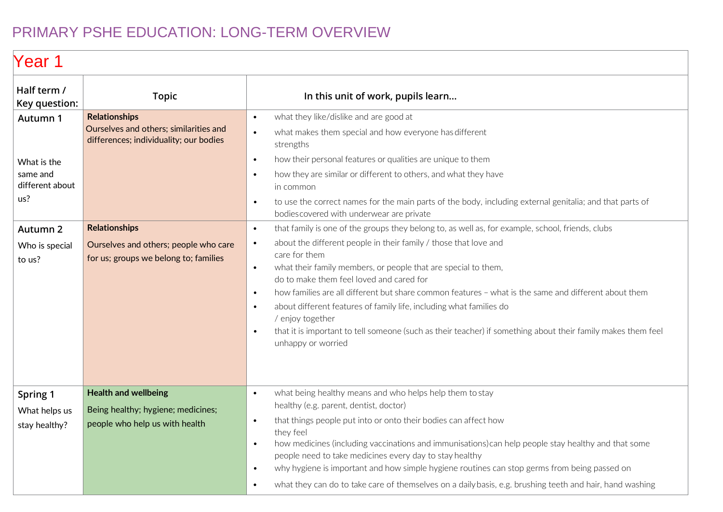#### PRIMARY PSHE EDUCATION: LONG-TERM OVERVIEW

### Year<sub>1</sub>

| Half term /<br>Key question:                      | <b>Topic</b>                                                                                             | In this unit of work, pupils learn                                                                                                                                                                                                                                                                                                                                                                                                                                                                                                                                                                                                                                                                                         |  |  |
|---------------------------------------------------|----------------------------------------------------------------------------------------------------------|----------------------------------------------------------------------------------------------------------------------------------------------------------------------------------------------------------------------------------------------------------------------------------------------------------------------------------------------------------------------------------------------------------------------------------------------------------------------------------------------------------------------------------------------------------------------------------------------------------------------------------------------------------------------------------------------------------------------------|--|--|
| Autumn 1                                          | <b>Relationships</b><br>Ourselves and others; similarities and<br>differences; individuality; our bodies | what they like/dislike and are good at<br>$\bullet$<br>what makes them special and how everyone has different<br>$\bullet$<br>strengths                                                                                                                                                                                                                                                                                                                                                                                                                                                                                                                                                                                    |  |  |
| What is the<br>same and<br>different about<br>us? |                                                                                                          | how their personal features or qualities are unique to them<br>$\bullet$<br>how they are similar or different to others, and what they have<br>$\bullet$<br>in common<br>to use the correct names for the main parts of the body, including external genitalia; and that parts of<br>$\bullet$<br>bodies covered with underwear are private                                                                                                                                                                                                                                                                                                                                                                                |  |  |
| Autumn 2<br>Who is special<br>to us?              | <b>Relationships</b><br>Ourselves and others; people who care<br>for us; groups we belong to; families   | that family is one of the groups they belong to, as well as, for example, school, friends, clubs<br>$\bullet$<br>about the different people in their family / those that love and<br>$\bullet$<br>care for them<br>what their family members, or people that are special to them,<br>$\bullet$<br>do to make them feel loved and cared for<br>how families are all different but share common features - what is the same and different about them<br>$\bullet$<br>about different features of family life, including what families do<br>$\bullet$<br>/ enjoy together<br>that it is important to tell someone (such as their teacher) if something about their family makes them feel<br>$\bullet$<br>unhappy or worried |  |  |
| Spring 1<br>What helps us<br>stay healthy?        | <b>Health and wellbeing</b><br>Being healthy; hygiene; medicines;<br>people who help us with health      | what being healthy means and who helps help them to stay<br>$\bullet$<br>healthy (e.g. parent, dentist, doctor)<br>that things people put into or onto their bodies can affect how<br>$\bullet$<br>they feel<br>how medicines (including vaccinations and immunisations) can help people stay healthy and that some<br>$\bullet$<br>people need to take medicines every day to stay healthy<br>why hygiene is important and how simple hygiene routines can stop germs from being passed on<br>$\bullet$<br>what they can do to take care of themselves on a daily basis, e.g. brushing teeth and hair, hand washing<br>$\bullet$                                                                                          |  |  |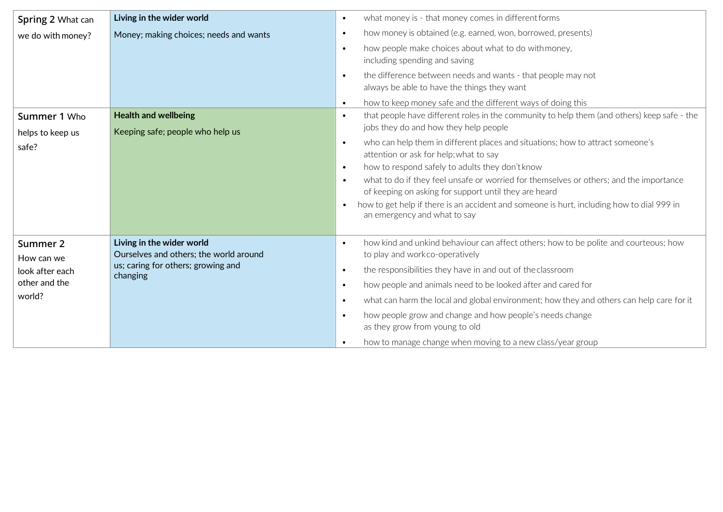| Spring 2 What can                                                    | Living in the wider world                                                                                             | what money is - that money comes in different forms<br>$\bullet$                                                                                                                                                                                                                                                                                                                                                                                                                                                                                                                                                                                                                                                                                                                                                                                                                                                                                                                                                                                   |
|----------------------------------------------------------------------|-----------------------------------------------------------------------------------------------------------------------|----------------------------------------------------------------------------------------------------------------------------------------------------------------------------------------------------------------------------------------------------------------------------------------------------------------------------------------------------------------------------------------------------------------------------------------------------------------------------------------------------------------------------------------------------------------------------------------------------------------------------------------------------------------------------------------------------------------------------------------------------------------------------------------------------------------------------------------------------------------------------------------------------------------------------------------------------------------------------------------------------------------------------------------------------|
| we do with money?<br>Summer 1 Who<br>helps to keep us<br>safe?       | Money; making choices; needs and wants<br><b>Health and wellbeing</b><br>Keeping safe; people who help us             | how money is obtained (e.g. earned, won, borrowed, presents)<br>$\bullet$<br>how people make choices about what to do with money,<br>$\bullet$<br>including spending and saving<br>the difference between needs and wants - that people may not<br>$\bullet$<br>always be able to have the things they want<br>how to keep money safe and the different ways of doing this<br>$\bullet$<br>that people have different roles in the community to help them (and others) keep safe - the<br>$\bullet$<br>jobs they do and how they help people<br>who can help them in different places and situations; how to attract someone's<br>$\bullet$<br>attention or ask for help; what to say<br>how to respond safely to adults they don't know<br>$\bullet$<br>what to do if they feel unsafe or worried for themselves or others; and the importance<br>$\bullet$<br>of keeping on asking for support until they are heard<br>how to get help if there is an accident and someone is hurt, including how to dial 999 in<br>an emergency and what to say |
| Summer 2<br>How can we<br>look after each<br>other and the<br>world? | Living in the wider world<br>Ourselves and others; the world around<br>us; caring for others; growing and<br>changing | how kind and unkind behaviour can affect others; how to be polite and courteous; how<br>$\bullet$<br>to play and workco-operatively<br>the responsibilities they have in and out of the classroom<br>$\bullet$<br>how people and animals need to be looked after and cared for<br>$\bullet$<br>what can harm the local and global environment; how they and others can help care for it<br>$\bullet$<br>how people grow and change and how people's needs change<br>$\bullet$<br>as they grow from young to old<br>how to manage change when moving to a new class/year group                                                                                                                                                                                                                                                                                                                                                                                                                                                                      |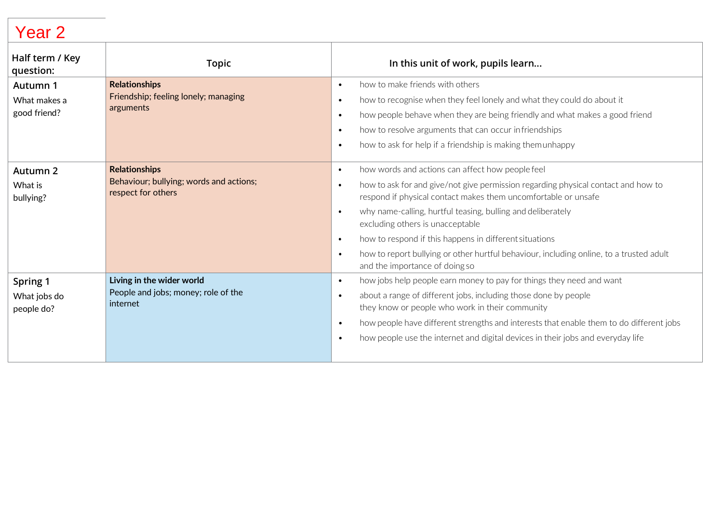| Half term / Key<br>question:                | <b>Topic</b>                                                                          | In this unit of work, pupils learn                                                                                                                                                                                                                                                                                                                                                                                                                                                                                                                                 |
|---------------------------------------------|---------------------------------------------------------------------------------------|--------------------------------------------------------------------------------------------------------------------------------------------------------------------------------------------------------------------------------------------------------------------------------------------------------------------------------------------------------------------------------------------------------------------------------------------------------------------------------------------------------------------------------------------------------------------|
| Autumn 1<br>What makes a<br>good friend?    | <b>Relationships</b><br>Friendship; feeling lonely; managing<br>arguments             | how to make friends with others<br>$\bullet$<br>how to recognise when they feel lonely and what they could do about it<br>$\bullet$<br>how people behave when they are being friendly and what makes a good friend<br>$\bullet$<br>how to resolve arguments that can occur infriendships<br>$\bullet$<br>how to ask for help if a friendship is making themunhappy<br>$\bullet$                                                                                                                                                                                    |
| Autumn <sub>2</sub><br>What is<br>bullying? | <b>Relationships</b><br>Behaviour; bullying; words and actions;<br>respect for others | how words and actions can affect how people feel<br>$\bullet$<br>how to ask for and give/not give permission regarding physical contact and how to<br>$\bullet$<br>respond if physical contact makes them uncomfortable or unsafe<br>why name-calling, hurtful teasing, bulling and deliberately<br>$\bullet$<br>excluding others is unacceptable<br>how to respond if this happens in different situations<br>$\bullet$<br>how to report bullying or other hurtful behaviour, including online, to a trusted adult<br>$\bullet$<br>and the importance of doing so |
| Spring 1<br>What jobs do<br>people do?      | Living in the wider world<br>People and jobs; money; role of the<br>internet          | how jobs help people earn money to pay for things they need and want<br>$\bullet$<br>about a range of different jobs, including those done by people<br>$\bullet$<br>they know or people who work in their community<br>how people have different strengths and interests that enable them to do different jobs<br>$\bullet$<br>how people use the internet and digital devices in their jobs and everyday life<br>$\bullet$                                                                                                                                       |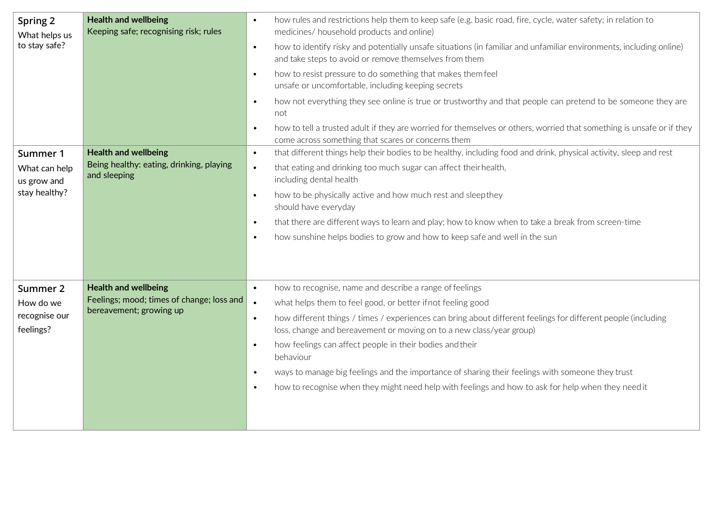| Spring 2<br>What helps us<br>to stay safe? | <b>Health and wellbeing</b><br>Keeping safe; recognising risk; rules    | how rules and restrictions help them to keep safe (e.g. basic road, fire, cycle, water safety; in relation to<br>$\bullet$<br>medicines/ household products and online)<br>how to identify risky and potentially unsafe situations (in familiar and unfamiliar environments, including online)<br>$\bullet$<br>and take steps to avoid or remove themselves from them<br>how to resist pressure to do something that makes them feel<br>$\bullet$<br>unsafe or uncomfortable, including keeping secrets<br>how not everything they see online is true or trustworthy and that people can pretend to be someone they are<br>$\bullet$<br>not<br>how to tell a trusted adult if they are worried for themselves or others, worried that something is unsafe or if they<br>$\bullet$<br>come across something that scares or concerns them |
|--------------------------------------------|-------------------------------------------------------------------------|-----------------------------------------------------------------------------------------------------------------------------------------------------------------------------------------------------------------------------------------------------------------------------------------------------------------------------------------------------------------------------------------------------------------------------------------------------------------------------------------------------------------------------------------------------------------------------------------------------------------------------------------------------------------------------------------------------------------------------------------------------------------------------------------------------------------------------------------|
| Summer 1<br>What can help                  | <b>Health and wellbeing</b><br>Being healthy: eating, drinking, playing | that different things help their bodies to be healthy, including food and drink, physical activity, sleep and rest<br>$\bullet$<br>that eating and drinking too much sugar can affect their health,<br>$\bullet$                                                                                                                                                                                                                                                                                                                                                                                                                                                                                                                                                                                                                        |
| us grow and<br>stay healthy?               | and sleeping                                                            | including dental health                                                                                                                                                                                                                                                                                                                                                                                                                                                                                                                                                                                                                                                                                                                                                                                                                 |
|                                            |                                                                         | how to be physically active and how much rest and sleepthey<br>$\bullet$<br>should have everyday                                                                                                                                                                                                                                                                                                                                                                                                                                                                                                                                                                                                                                                                                                                                        |
|                                            |                                                                         | that there are different ways to learn and play; how to know when to take a break from screen-time<br>$\bullet$                                                                                                                                                                                                                                                                                                                                                                                                                                                                                                                                                                                                                                                                                                                         |
|                                            |                                                                         | how sunshine helps bodies to grow and how to keep safe and well in the sun<br>$\bullet$                                                                                                                                                                                                                                                                                                                                                                                                                                                                                                                                                                                                                                                                                                                                                 |
|                                            |                                                                         |                                                                                                                                                                                                                                                                                                                                                                                                                                                                                                                                                                                                                                                                                                                                                                                                                                         |
| Summer 2                                   | <b>Health and wellbeing</b>                                             | how to recognise, name and describe a range of feelings<br>$\bullet$                                                                                                                                                                                                                                                                                                                                                                                                                                                                                                                                                                                                                                                                                                                                                                    |
| How do we                                  | Feelings; mood; times of change; loss and<br>bereavement; growing up    | what helps them to feel good, or better if not feeling good<br>$\bullet$                                                                                                                                                                                                                                                                                                                                                                                                                                                                                                                                                                                                                                                                                                                                                                |
| recognise our<br>feelings?                 |                                                                         | how different things / times / experiences can bring about different feelings for different people (including<br>$\bullet$<br>loss, change and bereavement or moving on to a new class/year group)                                                                                                                                                                                                                                                                                                                                                                                                                                                                                                                                                                                                                                      |
|                                            |                                                                         | how feelings can affect people in their bodies and their<br>$\bullet$<br>behaviour                                                                                                                                                                                                                                                                                                                                                                                                                                                                                                                                                                                                                                                                                                                                                      |
|                                            |                                                                         | ways to manage big feelings and the importance of sharing their feelings with someone they trust<br>$\bullet$                                                                                                                                                                                                                                                                                                                                                                                                                                                                                                                                                                                                                                                                                                                           |
|                                            |                                                                         | how to recognise when they might need help with feelings and how to ask for help when they need it<br>$\bullet$                                                                                                                                                                                                                                                                                                                                                                                                                                                                                                                                                                                                                                                                                                                         |
|                                            |                                                                         |                                                                                                                                                                                                                                                                                                                                                                                                                                                                                                                                                                                                                                                                                                                                                                                                                                         |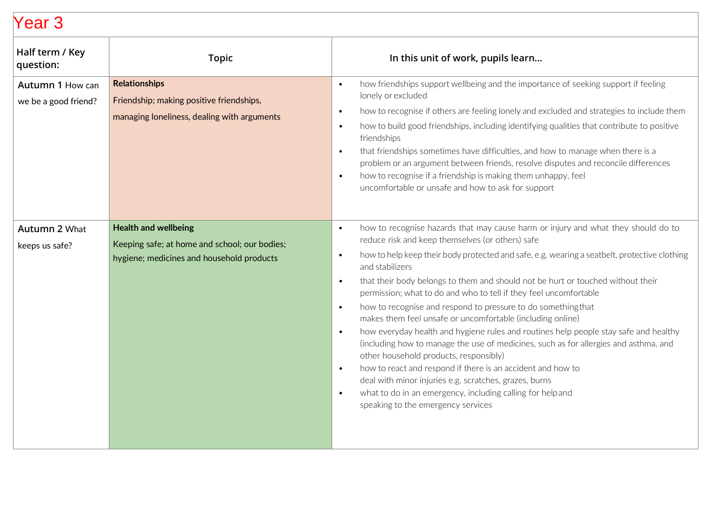| Half term / Key<br>question:             | <b>Topic</b>                                                                                                              | In this unit of work, pupils learn                                                                                                                                                                                                                                                                                                                                                                                                                                                                                                                                                                                                                                                                                                                                                                                                                                                                                                                                                                                                                                                               |
|------------------------------------------|---------------------------------------------------------------------------------------------------------------------------|--------------------------------------------------------------------------------------------------------------------------------------------------------------------------------------------------------------------------------------------------------------------------------------------------------------------------------------------------------------------------------------------------------------------------------------------------------------------------------------------------------------------------------------------------------------------------------------------------------------------------------------------------------------------------------------------------------------------------------------------------------------------------------------------------------------------------------------------------------------------------------------------------------------------------------------------------------------------------------------------------------------------------------------------------------------------------------------------------|
| Autumn 1 How can<br>we be a good friend? | <b>Relationships</b><br>Friendship; making positive friendships,<br>managing loneliness, dealing with arguments           | how friendships support wellbeing and the importance of seeking support if feeling<br>$\bullet$<br>lonely or excluded<br>how to recognise if others are feeling lonely and excluded and strategies to include them<br>$\bullet$<br>how to build good friendships, including identifying qualities that contribute to positive<br>$\bullet$<br>friendships<br>that friendships sometimes have difficulties, and how to manage when there is a<br>$\bullet$<br>problem or an argument between friends, resolve disputes and reconcile differences<br>how to recognise if a friendship is making them unhappy, feel<br>$\bullet$<br>uncomfortable or unsafe and how to ask for support                                                                                                                                                                                                                                                                                                                                                                                                              |
| <b>Autumn 2 What</b><br>keeps us safe?   | <b>Health and wellbeing</b><br>Keeping safe; at home and school; our bodies;<br>hygiene; medicines and household products | how to recognise hazards that may cause harm or injury and what they should do to<br>$\bullet$<br>reduce risk and keep themselves (or others) safe<br>how to help keep their body protected and safe, e.g. wearing a seatbelt, protective clothing<br>$\bullet$<br>and stabilizers<br>that their body belongs to them and should not be hurt or touched without their<br>$\bullet$<br>permission; what to do and who to tell if they feel uncomfortable<br>how to recognise and respond to pressure to do something that<br>$\bullet$<br>makes them feel unsafe or uncomfortable (including online)<br>how everyday health and hygiene rules and routines help people stay safe and healthy<br>$\bullet$<br>(including how to manage the use of medicines, such as for allergies and asthma, and<br>other household products, responsibly)<br>how to react and respond if there is an accident and how to<br>$\bullet$<br>deal with minor injuries e.g. scratches, grazes, burns<br>what to do in an emergency, including calling for helpand<br>$\bullet$<br>speaking to the emergency services |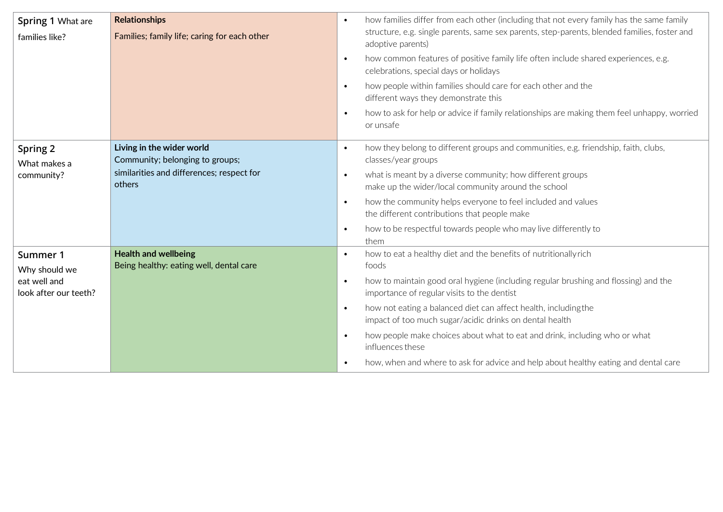| <b>Spring 1 What are</b>              | <b>Relationships</b>                                                   | how families differ from each other (including that not every family has the same family<br>$\bullet$<br>structure, e.g. single parents, same sex parents, step-parents, blended families, foster and |
|---------------------------------------|------------------------------------------------------------------------|-------------------------------------------------------------------------------------------------------------------------------------------------------------------------------------------------------|
| families like?                        | Families; family life; caring for each other                           | adoptive parents)                                                                                                                                                                                     |
|                                       |                                                                        | how common features of positive family life often include shared experiences, e.g.<br>$\bullet$<br>celebrations, special days or holidays                                                             |
|                                       |                                                                        | how people within families should care for each other and the<br>$\bullet$<br>different ways they demonstrate this                                                                                    |
|                                       |                                                                        | how to ask for help or advice if family relationships are making them feel unhappy, worried<br>$\bullet$<br>or unsafe                                                                                 |
| Spring 2<br>What makes a              | Living in the wider world<br>Community; belonging to groups;           | how they belong to different groups and communities, e.g. friendship, faith, clubs,<br>$\bullet$<br>classes/year groups                                                                               |
| community?                            | similarities and differences; respect for<br>others                    | what is meant by a diverse community; how different groups<br>$\bullet$<br>make up the wider/local community around the school                                                                        |
|                                       |                                                                        | how the community helps everyone to feel included and values<br>$\bullet$<br>the different contributions that people make                                                                             |
|                                       |                                                                        | how to be respectful towards people who may live differently to<br>$\bullet$<br>them                                                                                                                  |
| Summer 1<br>Why should we             | <b>Health and wellbeing</b><br>Being healthy: eating well, dental care | how to eat a healthy diet and the benefits of nutritionallyrich<br>$\bullet$<br>foods                                                                                                                 |
| eat well and<br>look after our teeth? |                                                                        | how to maintain good oral hygiene (including regular brushing and flossing) and the<br>$\bullet$<br>importance of regular visits to the dentist                                                       |
|                                       |                                                                        | how not eating a balanced diet can affect health, including the<br>$\bullet$<br>impact of too much sugar/acidic drinks on dental health                                                               |
|                                       |                                                                        | how people make choices about what to eat and drink, including who or what<br>$\bullet$<br>influences these                                                                                           |
|                                       |                                                                        | how, when and where to ask for advice and help about healthy eating and dental care                                                                                                                   |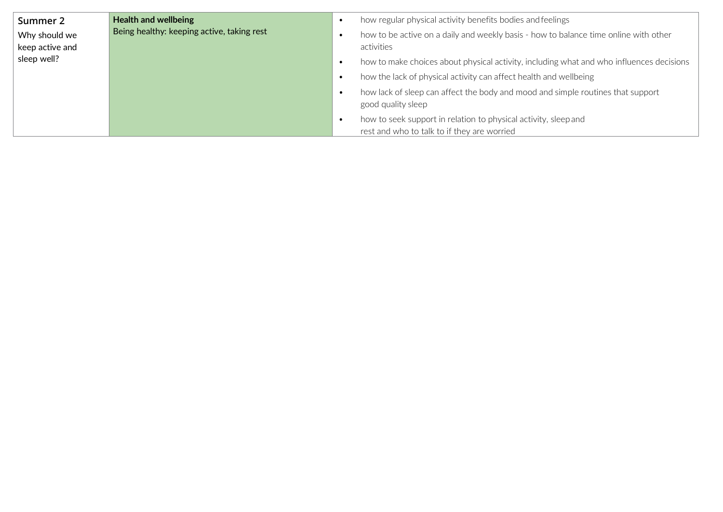| Summer 2        | <b>Health and wellbeing</b>                | how regular physical activity benefits bodies and feelings                                                     |
|-----------------|--------------------------------------------|----------------------------------------------------------------------------------------------------------------|
| Why should we   | Being healthy: keeping active, taking rest | how to be active on a daily and weekly basis - how to balance time online with other                           |
| keep active and |                                            | activities                                                                                                     |
| sleep well?     |                                            | how to make choices about physical activity, including what and who influences decisions                       |
|                 |                                            | how the lack of physical activity can affect health and wellbeing                                              |
|                 |                                            | how lack of sleep can affect the body and mood and simple routines that support<br>good quality sleep          |
|                 |                                            | how to seek support in relation to physical activity, sleep and<br>rest and who to talk to if they are worried |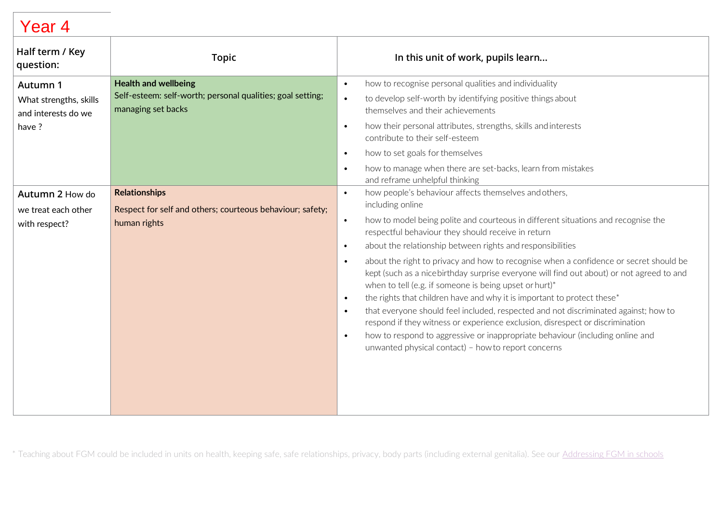| Half term / Key<br>question:                                        | <b>Topic</b>                                                                                                    | In this unit of work, pupils learn                                                                                                                                                                                                                                                                                                                                                                                                                                                                                                                                                                                                                                                                                                                                                                                                                                                                                                                                                                                      |
|---------------------------------------------------------------------|-----------------------------------------------------------------------------------------------------------------|-------------------------------------------------------------------------------------------------------------------------------------------------------------------------------------------------------------------------------------------------------------------------------------------------------------------------------------------------------------------------------------------------------------------------------------------------------------------------------------------------------------------------------------------------------------------------------------------------------------------------------------------------------------------------------------------------------------------------------------------------------------------------------------------------------------------------------------------------------------------------------------------------------------------------------------------------------------------------------------------------------------------------|
| Autumn 1<br>What strengths, skills<br>and interests do we<br>have ? | <b>Health and wellbeing</b><br>Self-esteem: self-worth; personal qualities; goal setting;<br>managing set backs | how to recognise personal qualities and individuality<br>$\bullet$<br>to develop self-worth by identifying positive things about<br>$\bullet$<br>themselves and their achievements<br>how their personal attributes, strengths, skills and interests<br>$\bullet$<br>contribute to their self-esteem<br>how to set goals for themselves<br>$\bullet$                                                                                                                                                                                                                                                                                                                                                                                                                                                                                                                                                                                                                                                                    |
|                                                                     |                                                                                                                 | how to manage when there are set-backs, learn from mistakes<br>$\bullet$<br>and reframe unhelpful thinking                                                                                                                                                                                                                                                                                                                                                                                                                                                                                                                                                                                                                                                                                                                                                                                                                                                                                                              |
| Autumn 2 How do<br>we treat each other<br>with respect?             | <b>Relationships</b><br>Respect for self and others; courteous behaviour; safety;<br>human rights               | how people's behaviour affects themselves and others,<br>$\bullet$<br>including online<br>how to model being polite and courteous in different situations and recognise the<br>$\bullet$<br>respectful behaviour they should receive in return<br>about the relationship between rights and responsibilities<br>$\bullet$<br>about the right to privacy and how to recognise when a confidence or secret should be<br>$\bullet$<br>kept (such as a nicebirthday surprise everyone will find out about) or not agreed to and<br>when to tell (e.g. if someone is being upset or hurt)*<br>the rights that children have and why it is important to protect these*<br>$\bullet$<br>that everyone should feel included, respected and not discriminated against; how to<br>$\bullet$<br>respond if they witness or experience exclusion, disrespect or discrimination<br>how to respond to aggressive or inappropriate behaviour (including online and<br>$\bullet$<br>unwanted physical contact) - how to report concerns |

\* Teaching about FGM could be included in units on health, keeping safe, safe relationships, privacy, body parts (including external genitalia). See our [Addressing FGM in schools](https://www.pshe-association.org.uk/curriculum-and-resources/resources/information-sheet-addressing-fgm-schools)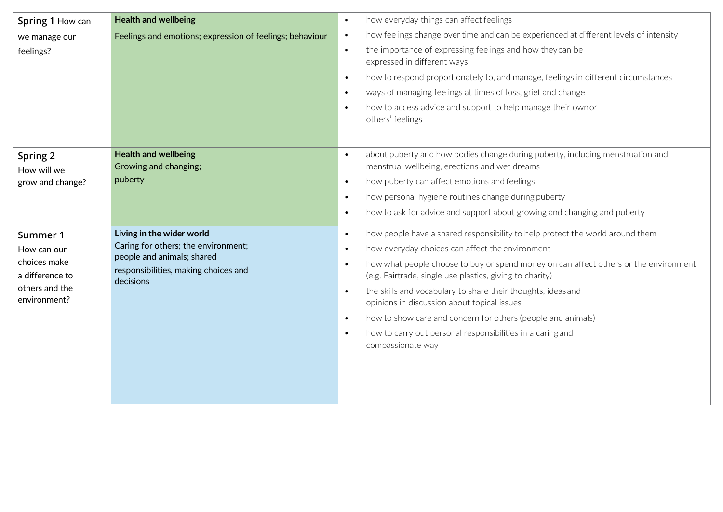| Spring 1 How can                            | <b>Health and wellbeing</b>                                        | how everyday things can affect feelings<br>$\bullet$                                                                                                                                                      |
|---------------------------------------------|--------------------------------------------------------------------|-----------------------------------------------------------------------------------------------------------------------------------------------------------------------------------------------------------|
| we manage our                               | Feelings and emotions; expression of feelings; behaviour           | how feelings change over time and can be experienced at different levels of intensity<br>$\bullet$                                                                                                        |
| feelings?                                   |                                                                    | the importance of expressing feelings and how they can be<br>$\bullet$<br>expressed in different ways                                                                                                     |
|                                             |                                                                    | how to respond proportionately to, and manage, feelings in different circumstances<br>$\bullet$                                                                                                           |
|                                             |                                                                    | ways of managing feelings at times of loss, grief and change<br>$\bullet$                                                                                                                                 |
|                                             |                                                                    | how to access advice and support to help manage their own or<br>$\bullet$<br>others' feelings                                                                                                             |
| Spring 2<br>How will we<br>grow and change? | <b>Health and wellbeing</b><br>Growing and changing;<br>puberty    | about puberty and how bodies change during puberty, including menstruation and<br>$\bullet$<br>menstrual wellbeing, erections and wet dreams<br>how puberty can affect emotions and feelings<br>$\bullet$ |
|                                             |                                                                    | how personal hygiene routines change during puberty<br>$\bullet$                                                                                                                                          |
|                                             |                                                                    | how to ask for advice and support about growing and changing and puberty<br>$\bullet$                                                                                                                     |
|                                             |                                                                    |                                                                                                                                                                                                           |
| Summer 1                                    | Living in the wider world                                          | how people have a shared responsibility to help protect the world around them<br>$\bullet$                                                                                                                |
| How can our                                 | Caring for others; the environment;                                | how everyday choices can affect the environment<br>$\bullet$                                                                                                                                              |
| choices make                                | people and animals; shared<br>responsibilities, making choices and | how what people choose to buy or spend money on can affect others or the environment<br>$\bullet$                                                                                                         |
| a difference to                             | decisions                                                          | (e.g. Fairtrade, single use plastics, giving to charity)                                                                                                                                                  |
| others and the<br>environment?              |                                                                    | the skills and vocabulary to share their thoughts, ideas and<br>$\bullet$<br>opinions in discussion about topical issues                                                                                  |
|                                             |                                                                    | how to show care and concern for others (people and animals)<br>$\bullet$                                                                                                                                 |
|                                             |                                                                    | how to carry out personal responsibilities in a caring and<br>$\bullet$                                                                                                                                   |
|                                             |                                                                    | compassionate way                                                                                                                                                                                         |
|                                             |                                                                    |                                                                                                                                                                                                           |
|                                             |                                                                    |                                                                                                                                                                                                           |
|                                             |                                                                    |                                                                                                                                                                                                           |
|                                             |                                                                    |                                                                                                                                                                                                           |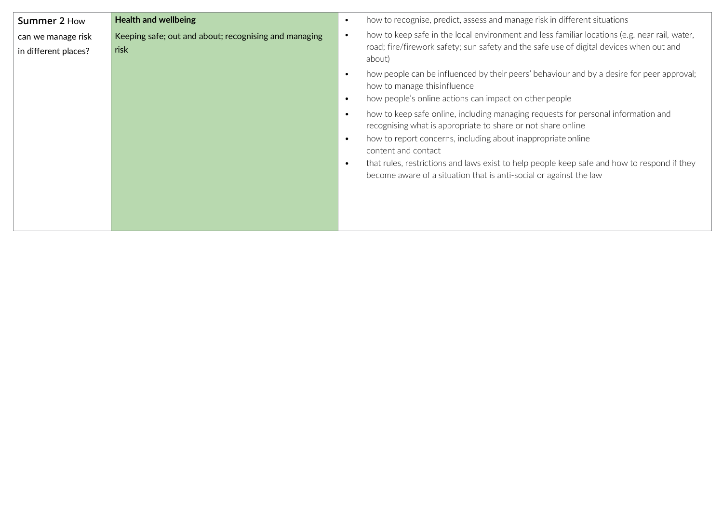| Summer 2 How                               | <b>Health and wellbeing</b>                                   | how to recognise, predict, assess and manage risk in different situations<br>$\bullet$                                                                                                                                                                                                                                                                                                                                                                                                                                                                                                                                                                                |
|--------------------------------------------|---------------------------------------------------------------|-----------------------------------------------------------------------------------------------------------------------------------------------------------------------------------------------------------------------------------------------------------------------------------------------------------------------------------------------------------------------------------------------------------------------------------------------------------------------------------------------------------------------------------------------------------------------------------------------------------------------------------------------------------------------|
| can we manage risk<br>in different places? | Keeping safe; out and about; recognising and managing<br>risk | how to keep safe in the local environment and less familiar locations (e.g. near rail, water,<br>$\bullet$<br>road; fire/firework safety; sun safety and the safe use of digital devices when out and<br>about)                                                                                                                                                                                                                                                                                                                                                                                                                                                       |
|                                            |                                                               | how people can be influenced by their peers' behaviour and by a desire for peer approval;<br>$\bullet$<br>how to manage this influence<br>how people's online actions can impact on other people<br>$\bullet$<br>how to keep safe online, including managing requests for personal information and<br>$\bullet$<br>recognising what is appropriate to share or not share online<br>how to report concerns, including about inappropriate online<br>$\bullet$<br>content and contact<br>that rules, restrictions and laws exist to help people keep safe and how to respond if they<br>$\bullet$<br>become aware of a situation that is anti-social or against the law |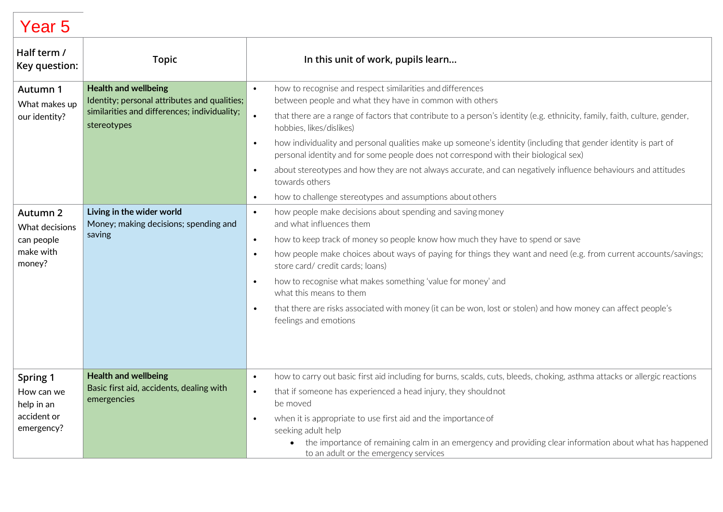| Half term /<br>Key question:                                                                                  | <b>Topic</b>                                                                                                                                                                                                               | In this unit of work, pupils learn                                                                                                                                                                                                                                                                                                                                                                                                                                                                                                                                                                                                                                                                                                                                                                                                                                                                                                                                                                                                                                                                                                                                                                                                      |
|---------------------------------------------------------------------------------------------------------------|----------------------------------------------------------------------------------------------------------------------------------------------------------------------------------------------------------------------------|-----------------------------------------------------------------------------------------------------------------------------------------------------------------------------------------------------------------------------------------------------------------------------------------------------------------------------------------------------------------------------------------------------------------------------------------------------------------------------------------------------------------------------------------------------------------------------------------------------------------------------------------------------------------------------------------------------------------------------------------------------------------------------------------------------------------------------------------------------------------------------------------------------------------------------------------------------------------------------------------------------------------------------------------------------------------------------------------------------------------------------------------------------------------------------------------------------------------------------------------|
| Autumn 1<br>What makes up<br>our identity?<br>Autumn 2<br>What decisions<br>can people<br>make with<br>money? | <b>Health and wellbeing</b><br>Identity; personal attributes and qualities;<br>similarities and differences; individuality;<br>stereotypes<br>Living in the wider world<br>Money; making decisions; spending and<br>saving | how to recognise and respect similarities and differences<br>$\bullet$<br>between people and what they have in common with others<br>that there are a range of factors that contribute to a person's identity (e.g. ethnicity, family, faith, culture, gender,<br>$\bullet$<br>hobbies, likes/dislikes)<br>how individuality and personal qualities make up someone's identity (including that gender identity is part of<br>$\bullet$<br>personal identity and for some people does not correspond with their biological sex)<br>about stereotypes and how they are not always accurate, and can negatively influence behaviours and attitudes<br>$\bullet$<br>towards others<br>how to challenge stereotypes and assumptions about others<br>$\bullet$<br>how people make decisions about spending and saving money<br>$\bullet$<br>and what influences them<br>how to keep track of money so people know how much they have to spend or save<br>$\bullet$<br>how people make choices about ways of paying for things they want and need (e.g. from current accounts/savings;<br>$\bullet$<br>store card/ credit cards; loans)<br>how to recognise what makes something 'value for money' and<br>$\bullet$<br>what this means to them |
| Spring 1<br>How can we<br>help in an<br>accident or<br>emergency?                                             | <b>Health and wellbeing</b><br>Basic first aid, accidents, dealing with<br>emergencies                                                                                                                                     | that there are risks associated with money (it can be won, lost or stolen) and how money can affect people's<br>$\bullet$<br>feelings and emotions<br>how to carry out basic first aid including for burns, scalds, cuts, bleeds, choking, asthma attacks or allergic reactions<br>$\bullet$<br>that if someone has experienced a head injury, they should not<br>$\bullet$<br>be moved<br>when it is appropriate to use first aid and the importance of<br>$\bullet$<br>seeking adult help<br>the importance of remaining calm in an emergency and providing clear information about what has happened<br>to an adult or the emergency services                                                                                                                                                                                                                                                                                                                                                                                                                                                                                                                                                                                        |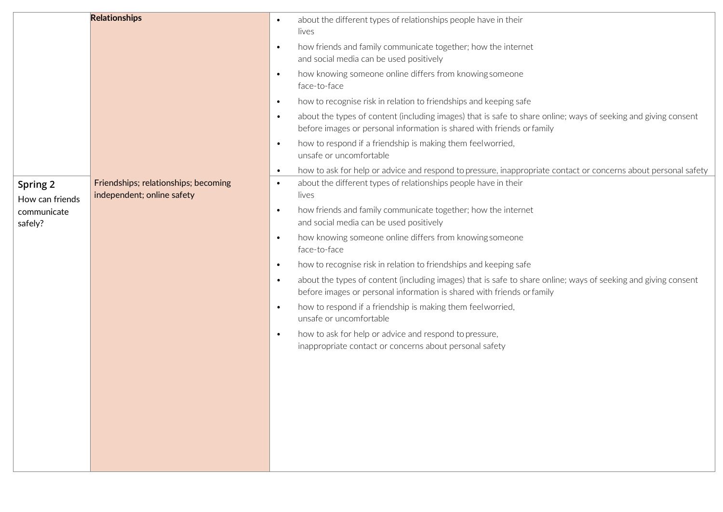| <b>Relationships</b> |                                      | about the different types of relationships people have in their<br>$\bullet$                                                                                                                          |
|----------------------|--------------------------------------|-------------------------------------------------------------------------------------------------------------------------------------------------------------------------------------------------------|
|                      |                                      | lives                                                                                                                                                                                                 |
|                      |                                      | how friends and family communicate together; how the internet<br>$\bullet$                                                                                                                            |
|                      |                                      | and social media can be used positively                                                                                                                                                               |
|                      |                                      | how knowing someone online differs from knowing someone<br>$\bullet$                                                                                                                                  |
|                      |                                      | face-to-face                                                                                                                                                                                          |
|                      |                                      | how to recognise risk in relation to friendships and keeping safe<br>$\bullet$                                                                                                                        |
|                      |                                      | about the types of content (including images) that is safe to share online; ways of seeking and giving consent<br>$\bullet$<br>before images or personal information is shared with friends or family |
|                      |                                      | how to respond if a friendship is making them feelworried,<br>$\bullet$<br>unsafe or uncomfortable                                                                                                    |
|                      |                                      | how to ask for help or advice and respond to pressure, inappropriate contact or concerns about personal safety<br>$\bullet$                                                                           |
| Spring 2             | Friendships; relationships; becoming | about the different types of relationships people have in their<br>$\bullet$                                                                                                                          |
| How can friends      | independent; online safety           | lives                                                                                                                                                                                                 |
| communicate          |                                      | how friends and family communicate together; how the internet<br>$\bullet$                                                                                                                            |
| safely?              |                                      | and social media can be used positively                                                                                                                                                               |
|                      |                                      | how knowing someone online differs from knowing someone<br>$\bullet$<br>face-to-face                                                                                                                  |
|                      |                                      | how to recognise risk in relation to friendships and keeping safe<br>$\bullet$                                                                                                                        |
|                      |                                      | about the types of content (including images) that is safe to share online; ways of seeking and giving consent<br>$\bullet$<br>before images or personal information is shared with friends or family |
|                      |                                      | how to respond if a friendship is making them feelworried,<br>$\bullet$<br>unsafe or uncomfortable                                                                                                    |
|                      |                                      | how to ask for help or advice and respond to pressure,<br>$\bullet$                                                                                                                                   |
|                      |                                      | inappropriate contact or concerns about personal safety                                                                                                                                               |
|                      |                                      |                                                                                                                                                                                                       |
|                      |                                      |                                                                                                                                                                                                       |
|                      |                                      |                                                                                                                                                                                                       |
|                      |                                      |                                                                                                                                                                                                       |
|                      |                                      |                                                                                                                                                                                                       |
|                      |                                      |                                                                                                                                                                                                       |
|                      |                                      |                                                                                                                                                                                                       |
|                      |                                      |                                                                                                                                                                                                       |
|                      |                                      |                                                                                                                                                                                                       |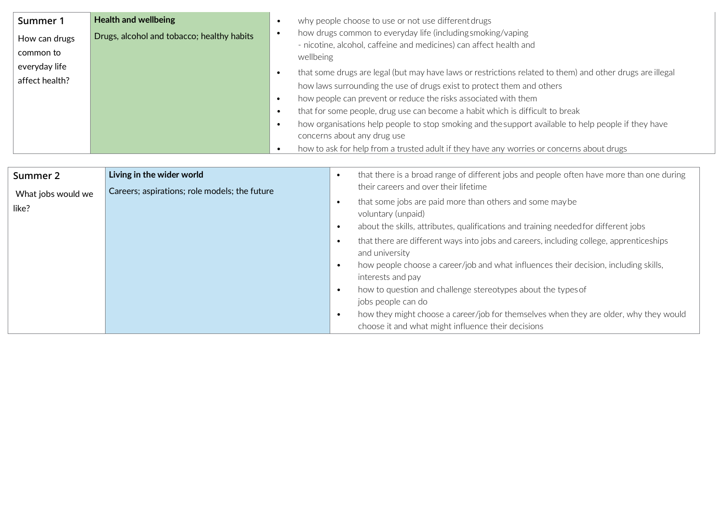| Summer 1                   | <b>Health and wellbeing</b>                |           | why people choose to use or not use different drugs                                                                                            |
|----------------------------|--------------------------------------------|-----------|------------------------------------------------------------------------------------------------------------------------------------------------|
| How can drugs<br>common to | Drugs, alcohol and tobacco; healthy habits |           | how drugs common to everyday life (including smoking/vaping<br>- nicotine, alcohol, caffeine and medicines) can affect health and<br>wellbeing |
| everyday life              |                                            |           | that some drugs are legal (but may have laws or restrictions related to them) and other drugs are illegal                                      |
| affect health?             |                                            |           | how laws surrounding the use of drugs exist to protect them and others                                                                         |
|                            |                                            | $\bullet$ | how people can prevent or reduce the risks associated with them                                                                                |
|                            |                                            | $\bullet$ | that for some people, drug use can become a habit which is difficult to break                                                                  |
|                            |                                            | $\bullet$ | how organisations help people to stop smoking and the support available to help people if they have                                            |
|                            |                                            |           | concerns about any drug use                                                                                                                    |
|                            |                                            |           | how to ask for help from a trusted adult if they have any worries or concerns about drugs                                                      |

| Summer 2           | Living in the wider world                     | that there is a broad range of different jobs and people often have more than one during<br>$\bullet$                                                                              |
|--------------------|-----------------------------------------------|------------------------------------------------------------------------------------------------------------------------------------------------------------------------------------|
| What jobs would we | Careers; aspirations; role models; the future | their careers and over their lifetime                                                                                                                                              |
| like?              |                                               | that some jobs are paid more than others and some may be<br>$\bullet$<br>voluntary (unpaid)<br>about the skills, attributes, qualifications and training needed for different jobs |
|                    |                                               | that there are different ways into jobs and careers, including college, apprenticeships<br>and university                                                                          |
|                    |                                               | how people choose a career/job and what influences their decision, including skills,<br>$\bullet$<br>interests and pay                                                             |
|                    |                                               | how to question and challenge stereotypes about the types of<br>$\bullet$<br>jobs people can do                                                                                    |
|                    |                                               | how they might choose a career/job for themselves when they are older, why they would<br>choose it and what might influence their decisions                                        |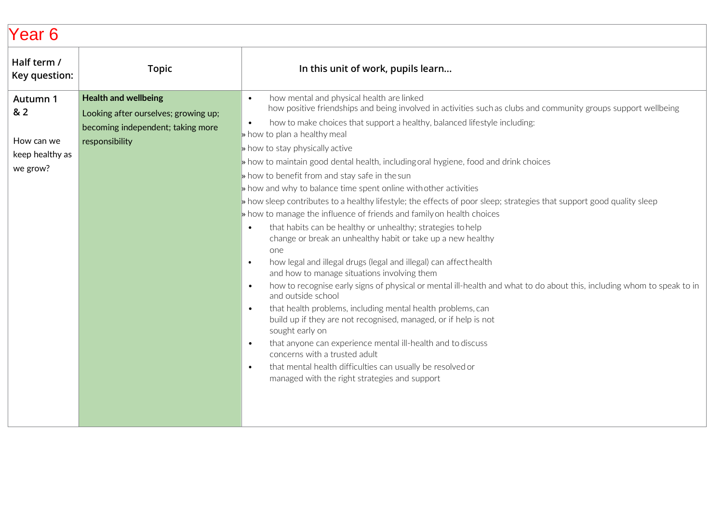| Half term /<br>Key question:                                 | <b>Topic</b>                                                                                                               | In this unit of work, pupils learn                                                                                                                                                                                                                                                                                                                                                                                                                                                                                                                                                                                                                                                                                                                                                                                                                                                                                                                                                                                                                                                                                                                                                                                                                                                                                                                                                                                                                                                                                                                                                                                 |
|--------------------------------------------------------------|----------------------------------------------------------------------------------------------------------------------------|--------------------------------------------------------------------------------------------------------------------------------------------------------------------------------------------------------------------------------------------------------------------------------------------------------------------------------------------------------------------------------------------------------------------------------------------------------------------------------------------------------------------------------------------------------------------------------------------------------------------------------------------------------------------------------------------------------------------------------------------------------------------------------------------------------------------------------------------------------------------------------------------------------------------------------------------------------------------------------------------------------------------------------------------------------------------------------------------------------------------------------------------------------------------------------------------------------------------------------------------------------------------------------------------------------------------------------------------------------------------------------------------------------------------------------------------------------------------------------------------------------------------------------------------------------------------------------------------------------------------|
| Autumn 1<br>& 2<br>How can we<br>keep healthy as<br>we grow? | <b>Health and wellbeing</b><br>Looking after ourselves; growing up;<br>becoming independent; taking more<br>responsibility | how mental and physical health are linked<br>$\bullet$<br>how positive friendships and being involved in activities such as clubs and community groups support wellbeing<br>how to make choices that support a healthy, balanced lifestyle including:<br>$\bullet$<br>» how to plan a healthy meal<br>If how to stay physically active<br>» how to maintain good dental health, including oral hygiene, food and drink choices<br>» how to benefit from and stay safe in the sun<br>> how and why to balance time spent online with other activities<br>» how sleep contributes to a healthy lifestyle; the effects of poor sleep; strategies that support good quality sleep<br>In bow to manage the influence of friends and family on health choices<br>that habits can be healthy or unhealthy; strategies to help<br>$\bullet$<br>change or break an unhealthy habit or take up a new healthy<br>one<br>how legal and illegal drugs (legal and illegal) can affect health<br>$\bullet$<br>and how to manage situations involving them<br>how to recognise early signs of physical or mental ill-health and what to do about this, including whom to speak to in<br>$\bullet$<br>and outside school<br>that health problems, including mental health problems, can<br>$\bullet$<br>build up if they are not recognised, managed, or if help is not<br>sought early on<br>that anyone can experience mental ill-health and to discuss<br>$\bullet$<br>concerns with a trusted adult<br>that mental health difficulties can usually be resolved or<br>$\bullet$<br>managed with the right strategies and support |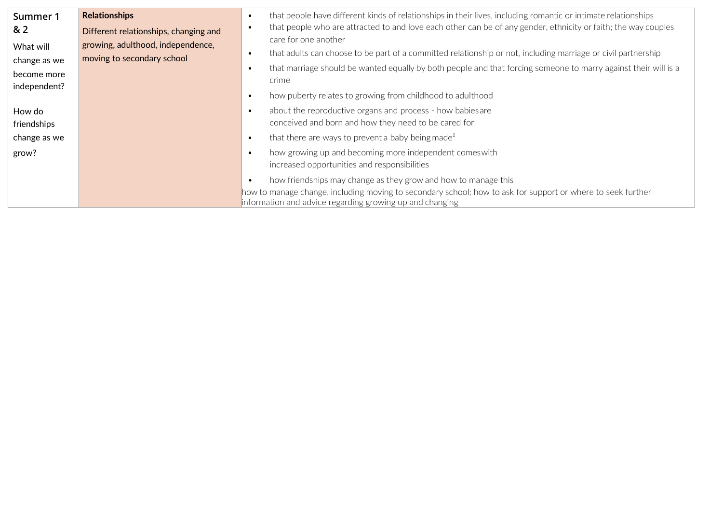| Summer 1<br>8 <sub>2</sub><br>What will<br>change as we<br>become more<br>independent? | <b>Relationships</b><br>Different relationships, changing and<br>growing, adulthood, independence,<br>moving to secondary school | that people have different kinds of relationships in their lives, including romantic or intimate relationships<br>$\bullet$<br>that people who are attracted to and love each other can be of any gender, ethnicity or faith; the way couples<br>$\bullet$<br>care for one another<br>that adults can choose to be part of a committed relationship or not, including marriage or civil partnership<br>$\bullet$<br>that marriage should be wanted equally by both people and that forcing someone to marry against their will is a<br>$\bullet$<br>crime<br>how puberty relates to growing from childhood to adulthood<br>$\bullet$ |
|----------------------------------------------------------------------------------------|----------------------------------------------------------------------------------------------------------------------------------|--------------------------------------------------------------------------------------------------------------------------------------------------------------------------------------------------------------------------------------------------------------------------------------------------------------------------------------------------------------------------------------------------------------------------------------------------------------------------------------------------------------------------------------------------------------------------------------------------------------------------------------|
| How do<br>friendships                                                                  |                                                                                                                                  | about the reproductive organs and process - how babies are<br>$\bullet$<br>conceived and born and how they need to be cared for                                                                                                                                                                                                                                                                                                                                                                                                                                                                                                      |
| change as we                                                                           |                                                                                                                                  | that there are ways to prevent a baby being made <sup>2</sup><br>$\bullet$                                                                                                                                                                                                                                                                                                                                                                                                                                                                                                                                                           |
| grow?                                                                                  |                                                                                                                                  | how growing up and becoming more independent comes with<br>$\bullet$<br>increased opportunities and responsibilities                                                                                                                                                                                                                                                                                                                                                                                                                                                                                                                 |
|                                                                                        |                                                                                                                                  | how friendships may change as they grow and how to manage this<br>$\bullet$<br>how to manage change, including moving to secondary school; how to ask for support or where to seek further<br>information and advice regarding growing up and changing                                                                                                                                                                                                                                                                                                                                                                               |